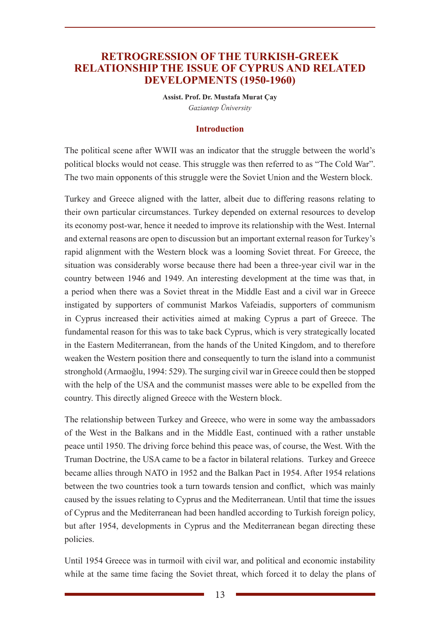## **RETROGRESSION OF THE TURKISH-GREEK RELATIONSHIP THE ISSUE OF CYPRUS AND RELATED DEVELOPMENTS (1950-1960)**

**Assist. Prof. Dr. Mustafa Murat Çay** *Gaziantep Üniversity*

#### **Introduction**

The political scene after WWII was an indicator that the struggle between the world's political blocks would not cease. This struggle was then referred to as "The Cold War". The two main opponents of this struggle were the Soviet Union and the Western block.

Turkey and Greece aligned with the latter, albeit due to differing reasons relating to their own particular circumstances. Turkey depended on external resources to develop its economy post-war, hence it needed to improve its relationship with the West. Internal and external reasons are open to discussion but an important external reason for Turkey's rapid alignment with the Western block was a looming Soviet threat. For Greece, the situation was considerably worse because there had been a three-year civil war in the country between 1946 and 1949. An interesting development at the time was that, in a period when there was a Soviet threat in the Middle East and a civil war in Greece instigated by supporters of communist Markos Vafeiadis, supporters of communism in Cyprus increased their activities aimed at making Cyprus a part of Greece. The fundamental reason for this was to take back Cyprus, which is very strategically located in the Eastern Mediterranean, from the hands of the United Kingdom, and to therefore weaken the Western position there and consequently to turn the island into a communist stronghold (Armaoğlu, 1994: 529). The surging civil war in Greece could then be stopped with the help of the USA and the communist masses were able to be expelled from the country. This directly aligned Greece with the Western block.

The relationship between Turkey and Greece, who were in some way the ambassadors of the West in the Balkans and in the Middle East, continued with a rather unstable peace until 1950. The driving force behind this peace was, of course, the West. With the Truman Doctrine, the USA came to be a factor in bilateral relations. Turkey and Greece became allies through NATO in 1952 and the Balkan Pact in 1954. After 1954 relations between the two countries took a turn towards tension and conflict, which was mainly caused by the issues relating to Cyprus and the Mediterranean. Until that time the issues of Cyprus and the Mediterranean had been handled according to Turkish foreign policy, but after 1954, developments in Cyprus and the Mediterranean began directing these policies.

Until 1954 Greece was in turmoil with civil war, and political and economic instability while at the same time facing the Soviet threat, which forced it to delay the plans of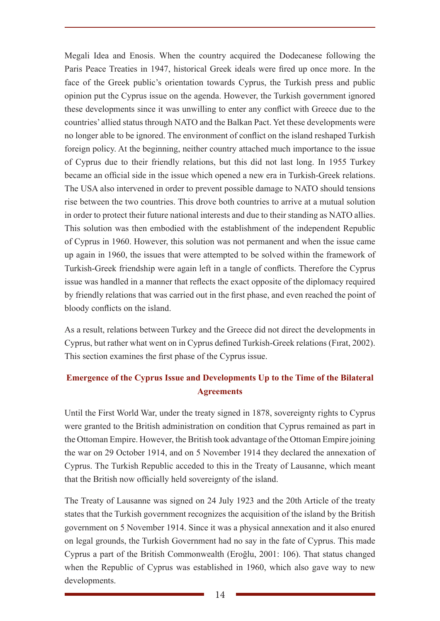Megali Idea and Enosis. When the country acquired the Dodecanese following the Paris Peace Treaties in 1947, historical Greek ideals were fired up once more. In the face of the Greek public's orientation towards Cyprus, the Turkish press and public opinion put the Cyprus issue on the agenda. However, the Turkish government ignored these developments since it was unwilling to enter any conflict with Greece due to the countries' allied status through NATO and the Balkan Pact. Yet these developments were no longer able to be ignored. The environment of conflict on the island reshaped Turkish foreign policy. At the beginning, neither country attached much importance to the issue of Cyprus due to their friendly relations, but this did not last long. In 1955 Turkey became an official side in the issue which opened a new era in Turkish-Greek relations. The USA also intervened in order to prevent possible damage to NATO should tensions rise between the two countries. This drove both countries to arrive at a mutual solution in order to protect their future national interests and due to their standing as NATO allies. This solution was then embodied with the establishment of the independent Republic of Cyprus in 1960. However, this solution was not permanent and when the issue came up again in 1960, the issues that were attempted to be solved within the framework of Turkish-Greek friendship were again left in a tangle of conflicts. Therefore the Cyprus issue was handled in a manner that reflects the exact opposite of the diplomacy required by friendly relations that was carried out in the first phase, and even reached the point of bloody conflicts on the island.

As a result, relations between Turkey and the Greece did not direct the developments in Cyprus, but rather what went on in Cyprus defined Turkish-Greek relations (Fırat, 2002). This section examines the first phase of the Cyprus issue.

# **Emergence of the Cyprus Issue and Developments Up to the Time of the Bilateral Agreements**

Until the First World War, under the treaty signed in 1878, sovereignty rights to Cyprus were granted to the British administration on condition that Cyprus remained as part in the Ottoman Empire. However, the British took advantage of the Ottoman Empire joining the war on 29 October 1914, and on 5 November 1914 they declared the annexation of Cyprus. The Turkish Republic acceded to this in the Treaty of Lausanne, which meant that the British now officially held sovereignty of the island.

The Treaty of Lausanne was signed on 24 July 1923 and the 20th Article of the treaty states that the Turkish government recognizes the acquisition of the island by the British government on 5 November 1914. Since it was a physical annexation and it also enured on legal grounds, the Turkish Government had no say in the fate of Cyprus. This made Cyprus a part of the British Commonwealth (Eroğlu, 2001: 106). That status changed when the Republic of Cyprus was established in 1960, which also gave way to new developments.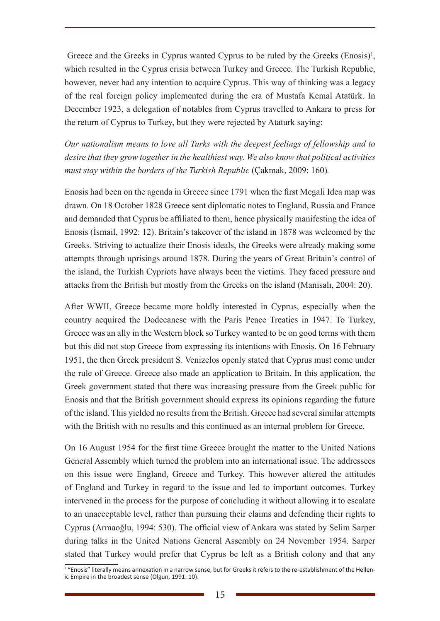Greece and the Greeks in Cyprus wanted Cyprus to be ruled by the Greeks (Enosis)<sup>1</sup>, which resulted in the Cyprus crisis between Turkey and Greece. The Turkish Republic, however, never had any intention to acquire Cyprus. This way of thinking was a legacy of the real foreign policy implemented during the era of Mustafa Kemal Atatürk. In December 1923, a delegation of notables from Cyprus travelled to Ankara to press for the return of Cyprus to Turkey, but they were rejected by Ataturk saying:

*Our nationalism means to love all Turks with the deepest feelings of fellowship and to desire that they grow together in the healthiest way. We also know that political activities must stay within the borders of the Turkish Republic* (Çakmak, 2009: 160)*.* 

Enosis had been on the agenda in Greece since 1791 when the first Megali Idea map was drawn. On 18 October 1828 Greece sent diplomatic notes to England, Russia and France and demanded that Cyprus be affiliated to them, hence physically manifesting the idea of Enosis (İsmail, 1992: 12). Britain's takeover of the island in 1878 was welcomed by the Greeks. Striving to actualize their Enosis ideals, the Greeks were already making some attempts through uprisings around 1878. During the years of Great Britain's control of the island, the Turkish Cypriots have always been the victims. They faced pressure and attacks from the British but mostly from the Greeks on the island (Manisalı, 2004: 20).

After WWII, Greece became more boldly interested in Cyprus, especially when the country acquired the Dodecanese with the Paris Peace Treaties in 1947. To Turkey, Greece was an ally in the Western block so Turkey wanted to be on good terms with them but this did not stop Greece from expressing its intentions with Enosis. On 16 February 1951, the then Greek president S. Venizelos openly stated that Cyprus must come under the rule of Greece. Greece also made an application to Britain. In this application, the Greek government stated that there was increasing pressure from the Greek public for Enosis and that the British government should express its opinions regarding the future of the island. This yielded no results from the British. Greece had several similar attempts with the British with no results and this continued as an internal problem for Greece.

On 16 August 1954 for the first time Greece brought the matter to the United Nations General Assembly which turned the problem into an international issue. The addressees on this issue were England, Greece and Turkey. This however altered the attitudes of England and Turkey in regard to the issue and led to important outcomes. Turkey intervened in the process for the purpose of concluding it without allowing it to escalate to an unacceptable level, rather than pursuing their claims and defending their rights to Cyprus (Armaoğlu, 1994: 530). The official view of Ankara was stated by Selim Sarper during talks in the United Nations General Assembly on 24 November 1954. Sarper stated that Turkey would prefer that Cyprus be left as a British colony and that any

<sup>&</sup>lt;sup>1</sup> "Enosis" literally means annexation in a narrow sense, but for Greeks it refers to the re-establishment of the Hellenic Empire in the broadest sense (Olgun, 1991: 10).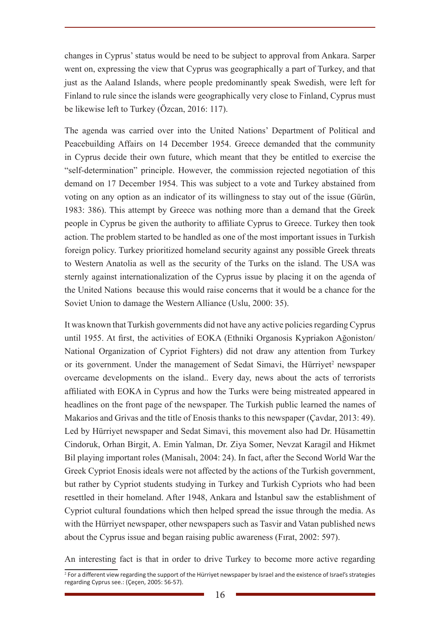changes in Cyprus' status would be need to be subject to approval from Ankara. Sarper went on, expressing the view that Cyprus was geographically a part of Turkey, and that just as the Aaland Islands, where people predominantly speak Swedish, were left for Finland to rule since the islands were geographically very close to Finland, Cyprus must be likewise left to Turkey (Özcan, 2016: 117).

The agenda was carried over into the United Nations' Department of Political and Peacebuilding Affairs on 14 December 1954. Greece demanded that the community in Cyprus decide their own future, which meant that they be entitled to exercise the "self-determination" principle. However, the commission rejected negotiation of this demand on 17 December 1954. This was subject to a vote and Turkey abstained from voting on any option as an indicator of its willingness to stay out of the issue (Gürün, 1983: 386). This attempt by Greece was nothing more than a demand that the Greek people in Cyprus be given the authority to affiliate Cyprus to Greece. Turkey then took action. The problem started to be handled as one of the most important issues in Turkish foreign policy. Turkey prioritized homeland security against any possible Greek threats to Western Anatolia as well as the security of the Turks on the island. The USA was sternly against internationalization of the Cyprus issue by placing it on the agenda of the United Nations because this would raise concerns that it would be a chance for the Soviet Union to damage the Western Alliance (Uslu, 2000: 35).

It was known that Turkish governments did not have any active policies regarding Cyprus until 1955. At first, the activities of EOKA (Ethniki Organosis Kypriakon Ağoniston/ National Organization of Cypriot Fighters) did not draw any attention from Turkey or its government. Under the management of Sedat Simavi, the Hürriyet<sup>2</sup> newspaper overcame developments on the island.. Every day, news about the acts of terrorists affiliated with EOKA in Cyprus and how the Turks were being mistreated appeared in headlines on the front page of the newspaper. The Turkish public learned the names of Makarios and Grivas and the title of Enosis thanks to this newspaper (Cavdar, 2013: 49). Led by Hürriyet newspaper and Sedat Simavi, this movement also had Dr. Hüsamettin Cindoruk, Orhan Birgit, A. Emin Yalman, Dr. Ziya Somer, Nevzat Karagil and Hikmet Bil playing important roles (Manisalı, 2004: 24). In fact, after the Second World War the Greek Cypriot Enosis ideals were not affected by the actions of the Turkish government, but rather by Cypriot students studying in Turkey and Turkish Cypriots who had been resettled in their homeland. After 1948, Ankara and İstanbul saw the establishment of Cypriot cultural foundations which then helped spread the issue through the media. As with the Hürriyet newspaper, other newspapers such as Tasvir and Vatan published news about the Cyprus issue and began raising public awareness (Fırat, 2002: 597).

An interesting fact is that in order to drive Turkey to become more active regarding

<sup>2</sup> For a different view regarding the support of the Hürriyet newspaper by Israel and the existence of Israel's strategies regarding Cyprus see.: (Çeçen, 2005: 56-57).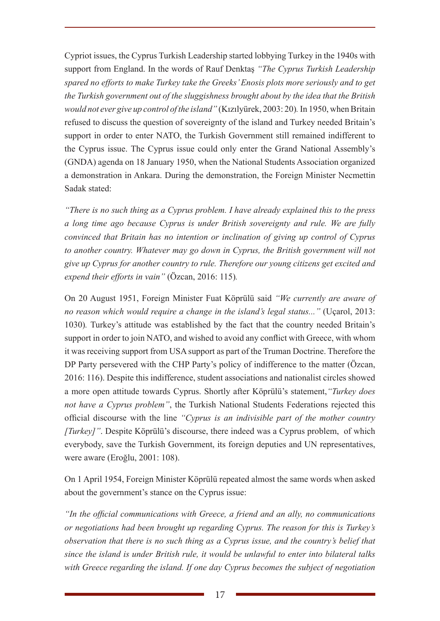Cypriot issues, the Cyprus Turkish Leadership started lobbying Turkey in the 1940s with support from England. In the words of Rauf Denktaş *"The Cyprus Turkish Leadership spared no efforts to make Turkey take the Greeks' Enosis plots more seriously and to get the Turkish government out of the sluggishness brought about by the idea that the British would not ever give up control of the island"* (Kızılyürek, 2003: 20)*.* In 1950, when Britain refused to discuss the question of sovereignty of the island and Turkey needed Britain's support in order to enter NATO, the Turkish Government still remained indifferent to the Cyprus issue. The Cyprus issue could only enter the Grand National Assembly's (GNDA) agenda on 18 January 1950, when the National Students Association organized a demonstration in Ankara. During the demonstration, the Foreign Minister Necmettin Sadak stated:

*"There is no such thing as a Cyprus problem. I have already explained this to the press a long time ago because Cyprus is under British sovereignty and rule. We are fully convinced that Britain has no intention or inclination of giving up control of Cyprus to another country. Whatever may go down in Cyprus, the British government will not give up Cyprus for another country to rule. Therefore our young citizens get excited and expend their efforts in vain"* (Özcan, 2016: 115)*.* 

On 20 August 1951, Foreign Minister Fuat Köprülü said *"We currently are aware of no reason which would require a change in the island's legal status..."* (Uçarol, 2013: 1030)*.* Turkey's attitude was established by the fact that the country needed Britain's support in order to join NATO, and wished to avoid any conflict with Greece, with whom it was receiving support from USA support as part of the Truman Doctrine. Therefore the DP Party persevered with the CHP Party's policy of indifference to the matter (Özcan, 2016: 116). Despite this indifference, student associations and nationalist circles showed a more open attitude towards Cyprus. Shortly after Köprülü's statement,*"Turkey does not have a Cyprus problem"*, the Turkish National Students Federations rejected this official discourse with the line *"Cyprus is an indivisible part of the mother country [Turkey]"*. Despite Köprülü's discourse, there indeed was a Cyprus problem, of which everybody, save the Turkish Government, its foreign deputies and UN representatives, were aware (Eroğlu, 2001: 108).

On 1 April 1954, Foreign Minister Köprülü repeated almost the same words when asked about the government's stance on the Cyprus issue:

*"In the official communications with Greece, a friend and an ally, no communications or negotiations had been brought up regarding Cyprus. The reason for this is Turkey's observation that there is no such thing as a Cyprus issue, and the country's belief that since the island is under British rule, it would be unlawful to enter into bilateral talks with Greece regarding the island. If one day Cyprus becomes the subject of negotiation*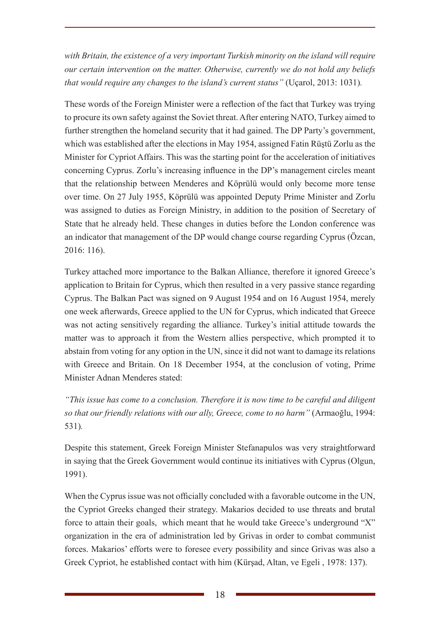*with Britain, the existence of a very important Turkish minority on the island will require our certain intervention on the matter. Otherwise, currently we do not hold any beliefs that would require any changes to the island's current status"* (Uçarol, 2013: 1031)*.*

These words of the Foreign Minister were a reflection of the fact that Turkey was trying to procure its own safety against the Soviet threat. After entering NATO, Turkey aimed to further strengthen the homeland security that it had gained. The DP Party's government, which was established after the elections in May 1954, assigned Fatin Rüştü Zorlu as the Minister for Cypriot Affairs. This was the starting point for the acceleration of initiatives concerning Cyprus. Zorlu's increasing influence in the DP's management circles meant that the relationship between Menderes and Köprülü would only become more tense over time. On 27 July 1955, Köprülü was appointed Deputy Prime Minister and Zorlu was assigned to duties as Foreign Ministry, in addition to the position of Secretary of State that he already held. These changes in duties before the London conference was an indicator that management of the DP would change course regarding Cyprus (Özcan, 2016: 116).

Turkey attached more importance to the Balkan Alliance, therefore it ignored Greece's application to Britain for Cyprus, which then resulted in a very passive stance regarding Cyprus. The Balkan Pact was signed on 9 August 1954 and on 16 August 1954, merely one week afterwards, Greece applied to the UN for Cyprus, which indicated that Greece was not acting sensitively regarding the alliance. Turkey's initial attitude towards the matter was to approach it from the Western allies perspective, which prompted it to abstain from voting for any option in the UN, since it did not want to damage its relations with Greece and Britain. On 18 December 1954, at the conclusion of voting, Prime Minister Adnan Menderes stated:

*"This issue has come to a conclusion. Therefore it is now time to be careful and diligent so that our friendly relations with our ally, Greece, come to no harm"* (Armaoğlu, 1994: 531)*.*

Despite this statement, Greek Foreign Minister Stefanapulos was very straightforward in saying that the Greek Government would continue its initiatives with Cyprus (Olgun, 1991).

When the Cyprus issue was not officially concluded with a favorable outcome in the UN, the Cypriot Greeks changed their strategy. Makarios decided to use threats and brutal force to attain their goals, which meant that he would take Greece's underground "X" organization in the era of administration led by Grivas in order to combat communist forces. Makarios' efforts were to foresee every possibility and since Grivas was also a Greek Cypriot, he established contact with him (Kürşad, Altan, ve Egeli , 1978: 137).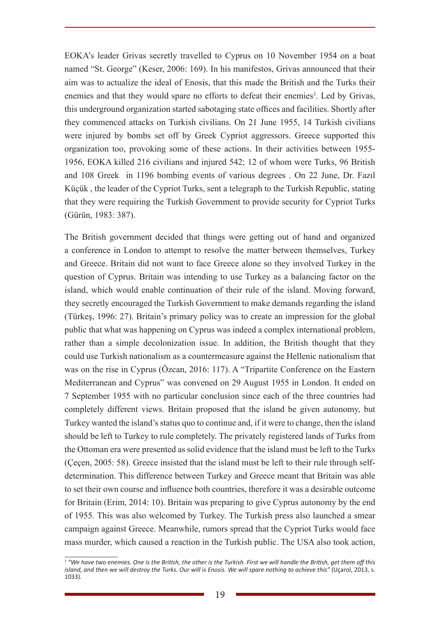EOKA's leader Grivas secretly travelled to Cyprus on 10 November 1954 on a boat named "St. George" (Keser, 2006: 169). In his manifestos, Grivas announced that their aim was to actualize the ideal of Enosis, that this made the British and the Turks their enemies and that they would spare no efforts to defeat their enemies<sup>3</sup>. Led by Grivas, this underground organization started sabotaging state offices and facilities. Shortly after they commenced attacks on Turkish civilians. On 21 June 1955, 14 Turkish civilians were injured by bombs set off by Greek Cypriot aggressors. Greece supported this organization too, provoking some of these actions. In their activities between 1955- 1956, EOKA killed 216 civilians and injured 542; 12 of whom were Turks, 96 British and 108 Greek in 1196 bombing events of various degrees . On 22 June, Dr. Fazıl Küçük , the leader of the Cypriot Turks, sent a telegraph to the Turkish Republic, stating that they were requiring the Turkish Government to provide security for Cypriot Turks (Gürün, 1983: 387).

The British government decided that things were getting out of hand and organized a conference in London to attempt to resolve the matter between themselves, Turkey and Greece. Britain did not want to face Greece alone so they involved Turkey in the question of Cyprus. Britain was intending to use Turkey as a balancing factor on the island, which would enable continuation of their rule of the island. Moving forward, they secretly encouraged the Turkish Government to make demands regarding the island (Türkeş, 1996: 27). Britain's primary policy was to create an impression for the global public that what was happening on Cyprus was indeed a complex international problem, rather than a simple decolonization issue. In addition, the British thought that they could use Turkish nationalism as a countermeasure against the Hellenic nationalism that was on the rise in Cyprus (Özcan, 2016: 117). A "Tripartite Conference on the Eastern Mediterranean and Cyprus" was convened on 29 August 1955 in London. It ended on 7 September 1955 with no particular conclusion since each of the three countries had completely different views. Britain proposed that the island be given autonomy, but Turkey wanted the island's status quo to continue and, if it were to change, then the island should be left to Turkey to rule completely. The privately registered lands of Turks from the Ottoman era were presented as solid evidence that the island must be left to the Turks (Çeçen, 2005: 58). Greece insisted that the island must be left to their rule through selfdetermination. This difference between Turkey and Greece meant that Britain was able to set their own course and influence both countries, therefore it was a desirable outcome for Britain (Erim, 2014: 10). Britain was preparing to give Cyprus autonomy by the end of 1955. This was also welcomed by Turkey. The Turkish press also launched a smear campaign against Greece. Meanwhile, rumors spread that the Cypriot Turks would face mass murder, which caused a reaction in the Turkish public. The USA also took action,

<sup>3</sup>  *"We have two enemies. One is the British, the other is the Turkish. First we will handle the British, get them off this*  island, and then we will destroy the Turks. Our will is Enosis. We will spare nothing to achieve this" (Uçarol, 2013, s. 1033)*.*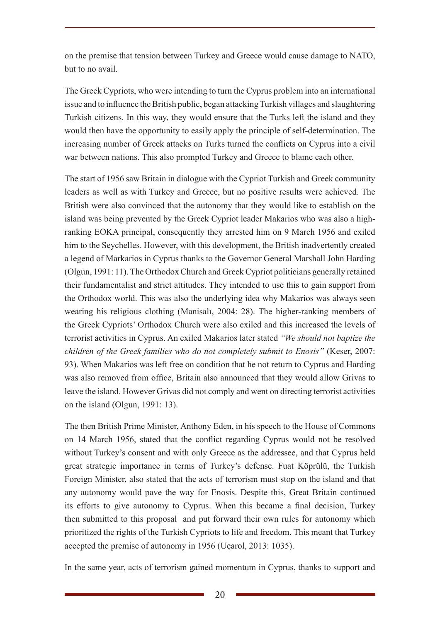on the premise that tension between Turkey and Greece would cause damage to NATO, but to no avail.

The Greek Cypriots, who were intending to turn the Cyprus problem into an international issue and to influence the British public, began attacking Turkish villages and slaughtering Turkish citizens. In this way, they would ensure that the Turks left the island and they would then have the opportunity to easily apply the principle of self-determination. The increasing number of Greek attacks on Turks turned the conflicts on Cyprus into a civil war between nations. This also prompted Turkey and Greece to blame each other.

The start of 1956 saw Britain in dialogue with the Cypriot Turkish and Greek community leaders as well as with Turkey and Greece, but no positive results were achieved. The British were also convinced that the autonomy that they would like to establish on the island was being prevented by the Greek Cypriot leader Makarios who was also a highranking EOKA principal, consequently they arrested him on 9 March 1956 and exiled him to the Seychelles. However, with this development, the British inadvertently created a legend of Markarios in Cyprus thanks to the Governor General Marshall John Harding (Olgun, 1991: 11). The Orthodox Church and Greek Cypriot politicians generally retained their fundamentalist and strict attitudes. They intended to use this to gain support from the Orthodox world. This was also the underlying idea why Makarios was always seen wearing his religious clothing (Manisalı, 2004: 28). The higher-ranking members of the Greek Cypriots' Orthodox Church were also exiled and this increased the levels of terrorist activities in Cyprus. An exiled Makarios later stated *"We should not baptize the children of the Greek families who do not completely submit to Enosis"* (Keser, 2007: 93). When Makarios was left free on condition that he not return to Cyprus and Harding was also removed from office, Britain also announced that they would allow Grivas to leave the island. However Grivas did not comply and went on directing terrorist activities on the island (Olgun, 1991: 13).

The then British Prime Minister, Anthony Eden, in his speech to the House of Commons on 14 March 1956, stated that the conflict regarding Cyprus would not be resolved without Turkey's consent and with only Greece as the addressee, and that Cyprus held great strategic importance in terms of Turkey's defense. Fuat Köprülü, the Turkish Foreign Minister, also stated that the acts of terrorism must stop on the island and that any autonomy would pave the way for Enosis. Despite this, Great Britain continued its efforts to give autonomy to Cyprus. When this became a final decision, Turkey then submitted to this proposal and put forward their own rules for autonomy which prioritized the rights of the Turkish Cypriots to life and freedom. This meant that Turkey accepted the premise of autonomy in 1956 (Uçarol, 2013: 1035).

In the same year, acts of terrorism gained momentum in Cyprus, thanks to support and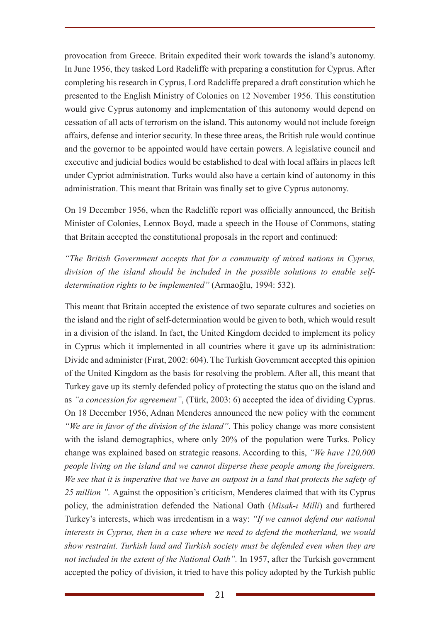provocation from Greece. Britain expedited their work towards the island's autonomy. In June 1956, they tasked Lord Radcliffe with preparing a constitution for Cyprus. After completing his research in Cyprus, Lord Radcliffe prepared a draft constitution which he presented to the English Ministry of Colonies on 12 November 1956. This constitution would give Cyprus autonomy and implementation of this autonomy would depend on cessation of all acts of terrorism on the island. This autonomy would not include foreign affairs, defense and interior security. In these three areas, the British rule would continue and the governor to be appointed would have certain powers. A legislative council and executive and judicial bodies would be established to deal with local affairs in places left under Cypriot administration. Turks would also have a certain kind of autonomy in this administration. This meant that Britain was finally set to give Cyprus autonomy.

On 19 December 1956, when the Radcliffe report was officially announced, the British Minister of Colonies, Lennox Boyd, made a speech in the House of Commons, stating that Britain accepted the constitutional proposals in the report and continued:

*"The British Government accepts that for a community of mixed nations in Cyprus, division of the island should be included in the possible solutions to enable selfdetermination rights to be implemented"* (Armaoğlu, 1994: 532)*.* 

This meant that Britain accepted the existence of two separate cultures and societies on the island and the right of self-determination would be given to both, which would result in a division of the island. In fact, the United Kingdom decided to implement its policy in Cyprus which it implemented in all countries where it gave up its administration: Divide and administer (Fırat, 2002: 604). The Turkish Government accepted this opinion of the United Kingdom as the basis for resolving the problem. After all, this meant that Turkey gave up its sternly defended policy of protecting the status quo on the island and as *"a concession for agreement"*, (Türk, 2003: 6) accepted the idea of dividing Cyprus. On 18 December 1956, Adnan Menderes announced the new policy with the comment *"We are in favor of the division of the island"*. This policy change was more consistent with the island demographics, where only 20% of the population were Turks. Policy change was explained based on strategic reasons. According to this, *"We have 120,000 people living on the island and we cannot disperse these people among the foreigners. We see that it is imperative that we have an outpost in a land that protects the safety of 25 million ".* Against the opposition's criticism, Menderes claimed that with its Cyprus policy, the administration defended the National Oath (*Misak-ı Milli*) and furthered Turkey's interests, which was irredentism in a way: *"If we cannot defend our national interests in Cyprus, then in a case where we need to defend the motherland, we would show restraint. Turkish land and Turkish society must be defended even when they are not included in the extent of the National Oath".* In 1957, after the Turkish government accepted the policy of division, it tried to have this policy adopted by the Turkish public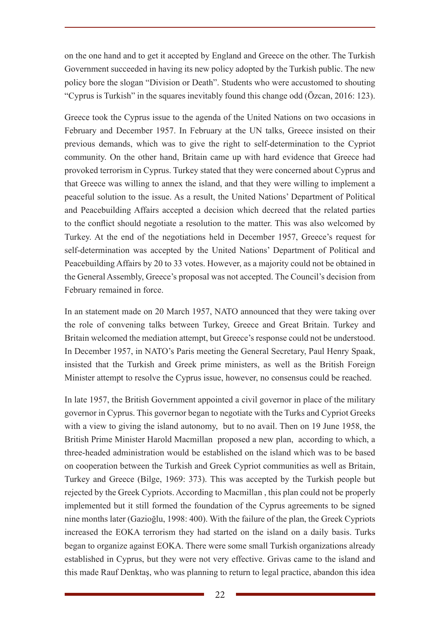on the one hand and to get it accepted by England and Greece on the other. The Turkish Government succeeded in having its new policy adopted by the Turkish public. The new policy bore the slogan "Division or Death". Students who were accustomed to shouting "Cyprus is Turkish" in the squares inevitably found this change odd (Özcan, 2016: 123).

Greece took the Cyprus issue to the agenda of the United Nations on two occasions in February and December 1957. In February at the UN talks, Greece insisted on their previous demands, which was to give the right to self-determination to the Cypriot community. On the other hand, Britain came up with hard evidence that Greece had provoked terrorism in Cyprus. Turkey stated that they were concerned about Cyprus and that Greece was willing to annex the island, and that they were willing to implement a peaceful solution to the issue. As a result, the United Nations' Department of Political and Peacebuilding Affairs accepted a decision which decreed that the related parties to the conflict should negotiate a resolution to the matter. This was also welcomed by Turkey. At the end of the negotiations held in December 1957, Greece's request for self-determination was accepted by the United Nations' Department of Political and Peacebuilding Affairs by 20 to 33 votes. However, as a majority could not be obtained in the General Assembly, Greece's proposal was not accepted. The Council's decision from February remained in force.

In an statement made on 20 March 1957, NATO announced that they were taking over the role of convening talks between Turkey, Greece and Great Britain. Turkey and Britain welcomed the mediation attempt, but Greece's response could not be understood. In December 1957, in NATO's Paris meeting the General Secretary, Paul Henry Spaak, insisted that the Turkish and Greek prime ministers, as well as the British Foreign Minister attempt to resolve the Cyprus issue, however, no consensus could be reached.

In late 1957, the British Government appointed a civil governor in place of the military governor in Cyprus. This governor began to negotiate with the Turks and Cypriot Greeks with a view to giving the island autonomy, but to no avail. Then on 19 June 1958, the British Prime Minister Harold Macmillan proposed a new plan, according to which, a three-headed administration would be established on the island which was to be based on cooperation between the Turkish and Greek Cypriot communities as well as Britain, Turkey and Greece (Bilge, 1969: 373). This was accepted by the Turkish people but rejected by the Greek Cypriots. According to Macmillan , this plan could not be properly implemented but it still formed the foundation of the Cyprus agreements to be signed nine months later (Gazioğlu, 1998: 400). With the failure of the plan, the Greek Cypriots increased the EOKA terrorism they had started on the island on a daily basis. Turks began to organize against EOKA. There were some small Turkish organizations already established in Cyprus, but they were not very effective. Grivas came to the island and this made Rauf Denktaş, who was planning to return to legal practice, abandon this idea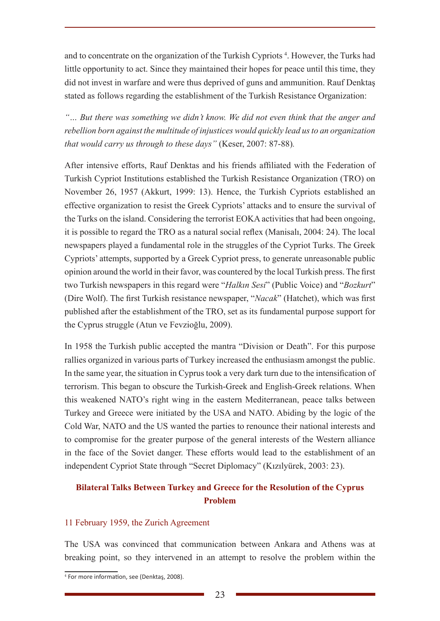and to concentrate on the organization of the Turkish Cypriots<sup>4</sup>. However, the Turks had little opportunity to act. Since they maintained their hopes for peace until this time, they did not invest in warfare and were thus deprived of guns and ammunition. Rauf Denktaş stated as follows regarding the establishment of the Turkish Resistance Organization:

*"… But there was something we didn't know. We did not even think that the anger and rebellion born against the multitude of injustices would quickly lead us to an organization that would carry us through to these days"* (Keser, 2007: 87-88)*.*

After intensive efforts, Rauf Denktas and his friends affiliated with the Federation of Turkish Cypriot Institutions established the Turkish Resistance Organization (TRO) on November 26, 1957 (Akkurt, 1999: 13). Hence, the Turkish Cypriots established an effective organization to resist the Greek Cypriots' attacks and to ensure the survival of the Turks on the island. Considering the terrorist EOKA activities that had been ongoing, it is possible to regard the TRO as a natural social reflex (Manisalı, 2004: 24). The local newspapers played a fundamental role in the struggles of the Cypriot Turks. The Greek Cypriots' attempts, supported by a Greek Cypriot press, to generate unreasonable public opinion around the world in their favor, was countered by the local Turkish press. The first two Turkish newspapers in this regard were "*Halkın Sesi*" (Public Voice) and "*Bozkurt*" (Dire Wolf). The first Turkish resistance newspaper, "*Nacak*" (Hatchet), which was first published after the establishment of the TRO, set as its fundamental purpose support for the Cyprus struggle (Atun ve Fevzioğlu, 2009).

In 1958 the Turkish public accepted the mantra "Division or Death". For this purpose rallies organized in various parts of Turkey increased the enthusiasm amongst the public. In the same year, the situation in Cyprus took a very dark turn due to the intensification of terrorism. This began to obscure the Turkish-Greek and English-Greek relations. When this weakened NATO's right wing in the eastern Mediterranean, peace talks between Turkey and Greece were initiated by the USA and NATO. Abiding by the logic of the Cold War, NATO and the US wanted the parties to renounce their national interests and to compromise for the greater purpose of the general interests of the Western alliance in the face of the Soviet danger. These efforts would lead to the establishment of an independent Cypriot State through "Secret Diplomacy" (Kızılyürek, 2003: 23).

# **Bilateral Talks Between Turkey and Greece for the Resolution of the Cyprus Problem**

### 11 February 1959, the Zurich Agreement

The USA was convinced that communication between Ankara and Athens was at breaking point, so they intervened in an attempt to resolve the problem within the

<sup>4</sup> For more information, see (Denktaş, 2008).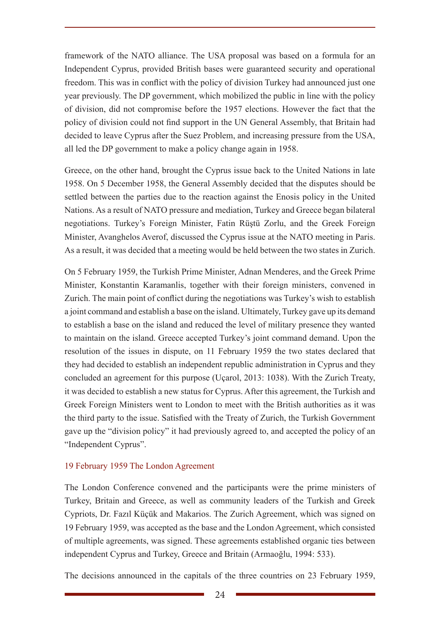framework of the NATO alliance. The USA proposal was based on a formula for an Independent Cyprus, provided British bases were guaranteed security and operational freedom. This was in conflict with the policy of division Turkey had announced just one year previously. The DP government, which mobilized the public in line with the policy of division, did not compromise before the 1957 elections. However the fact that the policy of division could not find support in the UN General Assembly, that Britain had decided to leave Cyprus after the Suez Problem, and increasing pressure from the USA, all led the DP government to make a policy change again in 1958.

Greece, on the other hand, brought the Cyprus issue back to the United Nations in late 1958. On 5 December 1958, the General Assembly decided that the disputes should be settled between the parties due to the reaction against the Enosis policy in the United Nations. As a result of NATO pressure and mediation, Turkey and Greece began bilateral negotiations. Turkey's Foreign Minister, Fatin Rüştü Zorlu, and the Greek Foreign Minister, Avanghelos Averof, discussed the Cyprus issue at the NATO meeting in Paris. As a result, it was decided that a meeting would be held between the two states in Zurich.

On 5 February 1959, the Turkish Prime Minister, Adnan Menderes, and the Greek Prime Minister, Konstantin Karamanlis, together with their foreign ministers, convened in Zurich. The main point of conflict during the negotiations was Turkey's wish to establish a joint command and establish a base on the island. Ultimately, Turkey gave up its demand to establish a base on the island and reduced the level of military presence they wanted to maintain on the island. Greece accepted Turkey's joint command demand. Upon the resolution of the issues in dispute, on 11 February 1959 the two states declared that they had decided to establish an independent republic administration in Cyprus and they concluded an agreement for this purpose (Uçarol, 2013: 1038). With the Zurich Treaty, it was decided to establish a new status for Cyprus. After this agreement, the Turkish and Greek Foreign Ministers went to London to meet with the British authorities as it was the third party to the issue. Satisfied with the Treaty of Zurich, the Turkish Government gave up the "division policy" it had previously agreed to, and accepted the policy of an "Independent Cyprus".

### 19 February 1959 The London Agreement

The London Conference convened and the participants were the prime ministers of Turkey, Britain and Greece, as well as community leaders of the Turkish and Greek Cypriots, Dr. Fazıl Küçük and Makarios. The Zurich Agreement, which was signed on 19 February 1959, was accepted as the base and the London Agreement, which consisted of multiple agreements, was signed. These agreements established organic ties between independent Cyprus and Turkey, Greece and Britain (Armaoğlu, 1994: 533).

The decisions announced in the capitals of the three countries on 23 February 1959,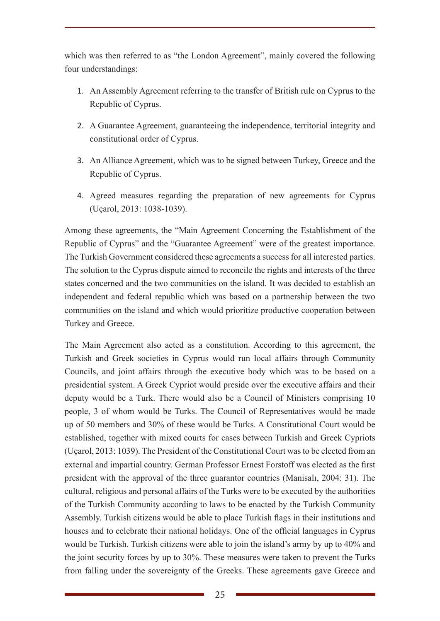which was then referred to as "the London Agreement", mainly covered the following four understandings:

- 1. An Assembly Agreement referring to the transfer of British rule on Cyprus to the Republic of Cyprus.
- 2. A Guarantee Agreement, guaranteeing the independence, territorial integrity and constitutional order of Cyprus.
- 3. An Alliance Agreement, which was to be signed between Turkey, Greece and the Republic of Cyprus.
- 4. Agreed measures regarding the preparation of new agreements for Cyprus (Uçarol, 2013: 1038-1039).

Among these agreements, the "Main Agreement Concerning the Establishment of the Republic of Cyprus" and the "Guarantee Agreement" were of the greatest importance. The Turkish Government considered these agreements a success for all interested parties. The solution to the Cyprus dispute aimed to reconcile the rights and interests of the three states concerned and the two communities on the island. It was decided to establish an independent and federal republic which was based on a partnership between the two communities on the island and which would prioritize productive cooperation between Turkey and Greece.

The Main Agreement also acted as a constitution. According to this agreement, the Turkish and Greek societies in Cyprus would run local affairs through Community Councils, and joint affairs through the executive body which was to be based on a presidential system. A Greek Cypriot would preside over the executive affairs and their deputy would be a Turk. There would also be a Council of Ministers comprising 10 people, 3 of whom would be Turks. The Council of Representatives would be made up of 50 members and 30% of these would be Turks. A Constitutional Court would be established, together with mixed courts for cases between Turkish and Greek Cypriots (Uçarol, 2013: 1039). The President of the Constitutional Court was to be elected from an external and impartial country. German Professor Ernest Forstoff was elected as the first president with the approval of the three guarantor countries (Manisalı, 2004: 31). The cultural, religious and personal affairs of the Turks were to be executed by the authorities of the Turkish Community according to laws to be enacted by the Turkish Community Assembly. Turkish citizens would be able to place Turkish flags in their institutions and houses and to celebrate their national holidays. One of the official languages in Cyprus would be Turkish. Turkish citizens were able to join the island's army by up to 40% and the joint security forces by up to 30%. These measures were taken to prevent the Turks from falling under the sovereignty of the Greeks. These agreements gave Greece and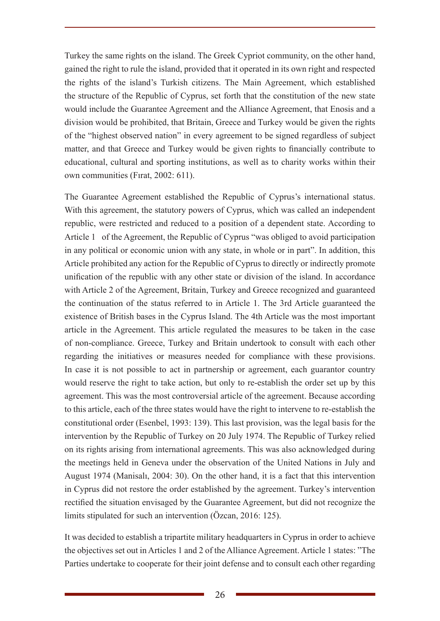Turkey the same rights on the island. The Greek Cypriot community, on the other hand, gained the right to rule the island, provided that it operated in its own right and respected the rights of the island's Turkish citizens. The Main Agreement, which established the structure of the Republic of Cyprus, set forth that the constitution of the new state would include the Guarantee Agreement and the Alliance Agreement, that Enosis and a division would be prohibited, that Britain, Greece and Turkey would be given the rights of the "highest observed nation" in every agreement to be signed regardless of subject matter, and that Greece and Turkey would be given rights to financially contribute to educational, cultural and sporting institutions, as well as to charity works within their own communities (Fırat, 2002: 611).

The Guarantee Agreement established the Republic of Cyprus's international status. With this agreement, the statutory powers of Cyprus, which was called an independent republic, were restricted and reduced to a position of a dependent state. According to Article 1 of the Agreement, the Republic of Cyprus "was obliged to avoid participation in any political or economic union with any state, in whole or in part". In addition, this Article prohibited any action for the Republic of Cyprus to directly or indirectly promote unification of the republic with any other state or division of the island. In accordance with Article 2 of the Agreement, Britain, Turkey and Greece recognized and guaranteed the continuation of the status referred to in Article 1. The 3rd Article guaranteed the existence of British bases in the Cyprus Island. The 4th Article was the most important article in the Agreement. This article regulated the measures to be taken in the case of non-compliance. Greece, Turkey and Britain undertook to consult with each other regarding the initiatives or measures needed for compliance with these provisions. In case it is not possible to act in partnership or agreement, each guarantor country would reserve the right to take action, but only to re-establish the order set up by this agreement. This was the most controversial article of the agreement. Because according to this article, each of the three states would have the right to intervene to re-establish the constitutional order (Esenbel, 1993: 139). This last provision, was the legal basis for the intervention by the Republic of Turkey on 20 July 1974. The Republic of Turkey relied on its rights arising from international agreements. This was also acknowledged during the meetings held in Geneva under the observation of the United Nations in July and August 1974 (Manisalı, 2004: 30). On the other hand, it is a fact that this intervention in Cyprus did not restore the order established by the agreement. Turkey's intervention rectified the situation envisaged by the Guarantee Agreement, but did not recognize the limits stipulated for such an intervention (Özcan, 2016: 125).

It was decided to establish a tripartite military headquarters in Cyprus in order to achieve the objectives set out in Articles 1 and 2 of the Alliance Agreement. Article 1 states: "The Parties undertake to cooperate for their joint defense and to consult each other regarding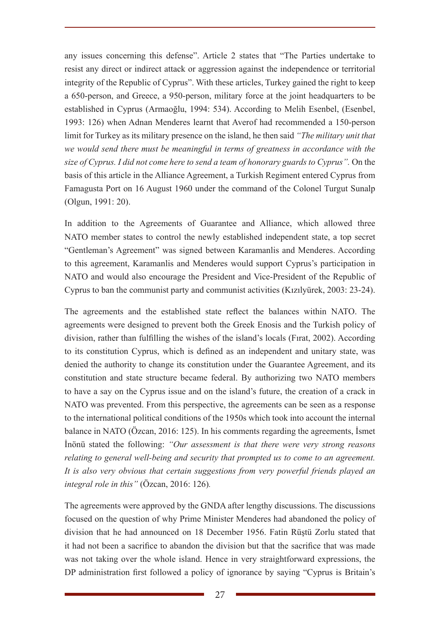any issues concerning this defense". Article 2 states that "The Parties undertake to resist any direct or indirect attack or aggression against the independence or territorial integrity of the Republic of Cyprus". With these articles, Turkey gained the right to keep a 650-person, and Greece, a 950-person, military force at the joint headquarters to be established in Cyprus (Armaoğlu, 1994: 534). According to Melih Esenbel, (Esenbel, 1993: 126) when Adnan Menderes learnt that Averof had recommended a 150-person limit for Turkey as its military presence on the island, he then said *"The military unit that we would send there must be meaningful in terms of greatness in accordance with the size of Cyprus. I did not come here to send a team of honorary guards to Cyprus".* On the basis of this article in the Alliance Agreement, a Turkish Regiment entered Cyprus from Famagusta Port on 16 August 1960 under the command of the Colonel Turgut Sunalp (Olgun, 1991: 20).

In addition to the Agreements of Guarantee and Alliance, which allowed three NATO member states to control the newly established independent state, a top secret "Gentleman's Agreement" was signed between Karamanlis and Menderes. According to this agreement, Karamanlis and Menderes would support Cyprus's participation in NATO and would also encourage the President and Vice-President of the Republic of Cyprus to ban the communist party and communist activities (Kızılyürek, 2003: 23-24).

The agreements and the established state reflect the balances within NATO. The agreements were designed to prevent both the Greek Enosis and the Turkish policy of division, rather than fulfilling the wishes of the island's locals (Fırat, 2002). According to its constitution Cyprus, which is defined as an independent and unitary state, was denied the authority to change its constitution under the Guarantee Agreement, and its constitution and state structure became federal. By authorizing two NATO members to have a say on the Cyprus issue and on the island's future, the creation of a crack in NATO was prevented. From this perspective, the agreements can be seen as a response to the international political conditions of the 1950s which took into account the internal balance in NATO (Özcan, 2016: 125). In his comments regarding the agreements, İsmet İnönü stated the following: *"Our assessment is that there were very strong reasons relating to general well-being and security that prompted us to come to an agreement. It is also very obvious that certain suggestions from very powerful friends played an integral role in this"* (Özcan, 2016: 126)*.* 

The agreements were approved by the GNDA after lengthy discussions. The discussions focused on the question of why Prime Minister Menderes had abandoned the policy of division that he had announced on 18 December 1956. Fatin Rüştü Zorlu stated that it had not been a sacrifice to abandon the division but that the sacrifice that was made was not taking over the whole island. Hence in very straightforward expressions, the DP administration first followed a policy of ignorance by saying "Cyprus is Britain's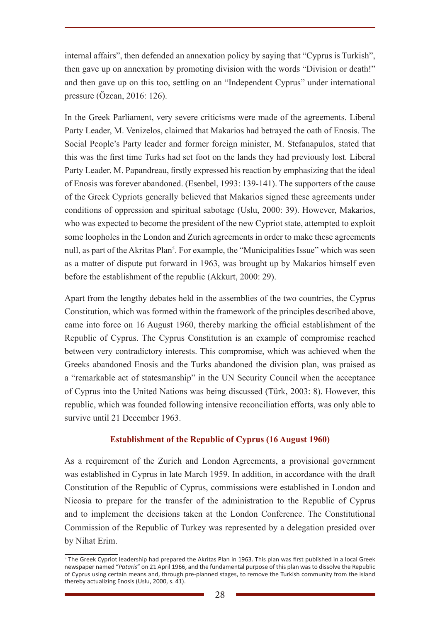internal affairs", then defended an annexation policy by saying that "Cyprus is Turkish", then gave up on annexation by promoting division with the words "Division or death!" and then gave up on this too, settling on an "Independent Cyprus" under international pressure (Özcan, 2016: 126).

In the Greek Parliament, very severe criticisms were made of the agreements. Liberal Party Leader, M. Venizelos, claimed that Makarios had betrayed the oath of Enosis. The Social People's Party leader and former foreign minister, M. Stefanapulos, stated that this was the first time Turks had set foot on the lands they had previously lost. Liberal Party Leader, M. Papandreau, firstly expressed his reaction by emphasizing that the ideal of Enosis was forever abandoned. (Esenbel, 1993: 139-141). The supporters of the cause of the Greek Cypriots generally believed that Makarios signed these agreements under conditions of oppression and spiritual sabotage (Uslu, 2000: 39). However, Makarios, who was expected to become the president of the new Cypriot state, attempted to exploit some loopholes in the London and Zurich agreements in order to make these agreements null, as part of the Akritas Plan<sup>5</sup>. For example, the "Municipalities Issue" which was seen as a matter of dispute put forward in 1963, was brought up by Makarios himself even before the establishment of the republic (Akkurt, 2000: 29).

Apart from the lengthy debates held in the assemblies of the two countries, the Cyprus Constitution, which was formed within the framework of the principles described above, came into force on 16 August 1960, thereby marking the official establishment of the Republic of Cyprus. The Cyprus Constitution is an example of compromise reached between very contradictory interests. This compromise, which was achieved when the Greeks abandoned Enosis and the Turks abandoned the division plan, was praised as a "remarkable act of statesmanship" in the UN Security Council when the acceptance of Cyprus into the United Nations was being discussed (Türk, 2003: 8). However, this republic, which was founded following intensive reconciliation efforts, was only able to survive until 21 December 1963.

### **Establishment of the Republic of Cyprus (16 August 1960)**

As a requirement of the Zurich and London Agreements, a provisional government was established in Cyprus in late March 1959. In addition, in accordance with the draft Constitution of the Republic of Cyprus, commissions were established in London and Nicosia to prepare for the transfer of the administration to the Republic of Cyprus and to implement the decisions taken at the London Conference. The Constitutional Commission of the Republic of Turkey was represented by a delegation presided over by Nihat Erim.

<sup>5</sup> The Greek Cypriot leadership had prepared the Akritas Plan in 1963. This plan was first published in a local Greek newspaper named "*Pataris*" on 21 April 1966, and the fundamental purpose of this plan was to dissolve the Republic of Cyprus using certain means and, through pre-planned stages, to remove the Turkish community from the island thereby actualizing Enosis (Uslu, 2000, s. 41).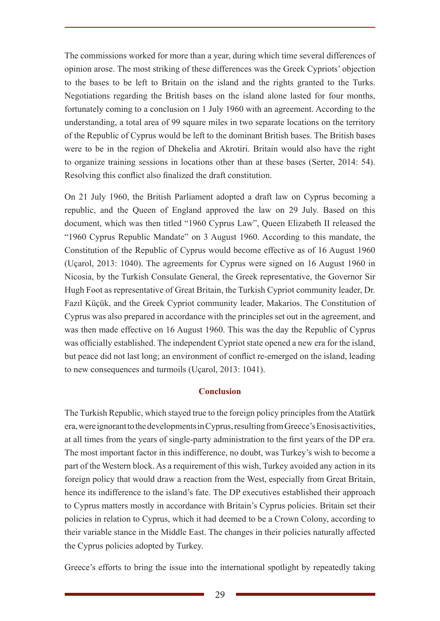The commissions worked for more than a year, during which time several differences of opinion arose. The most striking of these differences was the Greek Cypriots' objection to the bases to be left to Britain on the island and the rights granted to the Turks. Negotiations regarding the British bases on the island alone lasted for four months, fortunately coming to a conclusion on 1 July 1960 with an agreement. According to the understanding, a total area of 99 square miles in two separate locations on the territory of the Republic of Cyprus would be left to the dominant British bases. The British bases were to be in the region of Dhekelia and Akrotiri. Britain would also have the right to organize training sessions in locations other than at these bases (Serter, 2014: 54). Resolving this conflict also finalized the draft constitution.

On 21 July 1960, the British Parliament adopted a draft law on Cyprus becoming a republic, and the Queen of England approved the law on 29 July. Based on this document, which was then titled "1960 Cyprus Law", Queen Elizabeth II released the "1960 Cyprus Republic Mandate" on 3 August 1960. According to this mandate, the Constitution of the Republic of Cyprus would become effective as of 16 August 1960 (Uçarol, 2013: 1040). The agreements for Cyprus were signed on 16 August 1960 in Nicosia, by the Turkish Consulate General, the Greek representative, the Governor Sir Hugh Foot as representative of Great Britain, the Turkish Cypriot community leader, Dr. Fazıl Küçük, and the Greek Cypriot community leader, Makarios. The Constitution of Cyprus was also prepared in accordance with the principles set out in the agreement, and was then made effective on 16 August 1960. This was the day the Republic of Cyprus was officially established. The independent Cypriot state opened a new era for the island, but peace did not last long; an environment of conflict re-emerged on the island, leading to new consequences and turmoils (Uçarol, 2013: 1041).

### **Conclusion**

The Turkish Republic, which stayed true to the foreign policy principles from the Atatürk era, were ignorant to the developments in Cyprus, resulting from Greece's Enosis activities, at all times from the years of single-party administration to the first years of the DP era. The most important factor in this indifference, no doubt, was Turkey's wish to become a part of the Western block. As a requirement of this wish, Turkey avoided any action in its foreign policy that would draw a reaction from the West, especially from Great Britain, hence its indifference to the island's fate. The DP executives established their approach to Cyprus matters mostly in accordance with Britain's Cyprus policies. Britain set their policies in relation to Cyprus, which it had deemed to be a Crown Colony, according to their variable stance in the Middle East. The changes in their policies naturally affected the Cyprus policies adopted by Turkey.

Greece's efforts to bring the issue into the international spotlight by repeatedly taking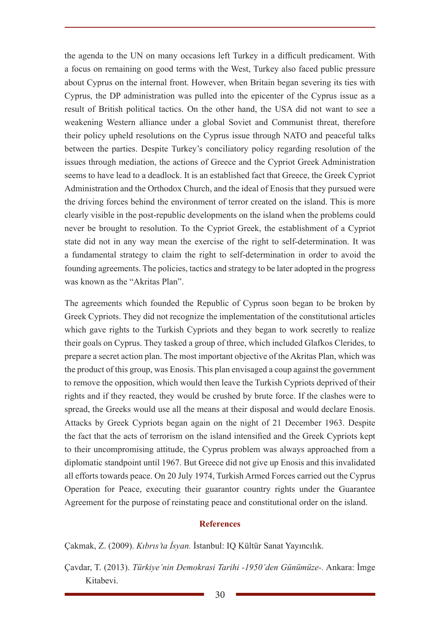the agenda to the UN on many occasions left Turkey in a difficult predicament. With a focus on remaining on good terms with the West, Turkey also faced public pressure about Cyprus on the internal front. However, when Britain began severing its ties with Cyprus, the DP administration was pulled into the epicenter of the Cyprus issue as a result of British political tactics. On the other hand, the USA did not want to see a weakening Western alliance under a global Soviet and Communist threat, therefore their policy upheld resolutions on the Cyprus issue through NATO and peaceful talks between the parties. Despite Turkey's conciliatory policy regarding resolution of the issues through mediation, the actions of Greece and the Cypriot Greek Administration seems to have lead to a deadlock. It is an established fact that Greece, the Greek Cypriot Administration and the Orthodox Church, and the ideal of Enosis that they pursued were the driving forces behind the environment of terror created on the island. This is more clearly visible in the post-republic developments on the island when the problems could never be brought to resolution. To the Cypriot Greek, the establishment of a Cypriot state did not in any way mean the exercise of the right to self-determination. It was a fundamental strategy to claim the right to self-determination in order to avoid the founding agreements. The policies, tactics and strategy to be later adopted in the progress was known as the "Akritas Plan".

The agreements which founded the Republic of Cyprus soon began to be broken by Greek Cypriots. They did not recognize the implementation of the constitutional articles which gave rights to the Turkish Cypriots and they began to work secretly to realize their goals on Cyprus. They tasked a group of three, which included Glafkos Clerides, to prepare a secret action plan. The most important objective of the Akritas Plan, which was the product of this group, was Enosis. This plan envisaged a coup against the government to remove the opposition, which would then leave the Turkish Cypriots deprived of their rights and if they reacted, they would be crushed by brute force. If the clashes were to spread, the Greeks would use all the means at their disposal and would declare Enosis. Attacks by Greek Cypriots began again on the night of 21 December 1963. Despite the fact that the acts of terrorism on the island intensified and the Greek Cypriots kept to their uncompromising attitude, the Cyprus problem was always approached from a diplomatic standpoint until 1967. But Greece did not give up Enosis and this invalidated all efforts towards peace. On 20 July 1974, Turkish Armed Forces carried out the Cyprus Operation for Peace, executing their guarantor country rights under the Guarantee Agreement for the purpose of reinstating peace and constitutional order on the island.

#### **References**

Çakmak, Z. (2009). *Kıbrıs'ta İsyan.* İstanbul: IQ Kültür Sanat Yayıncılık.

Çavdar, T. (2013). *Türkiye'nin Demokrasi Tarihi -1950'den Günümüze-.* Ankara: İmge Kitabevi.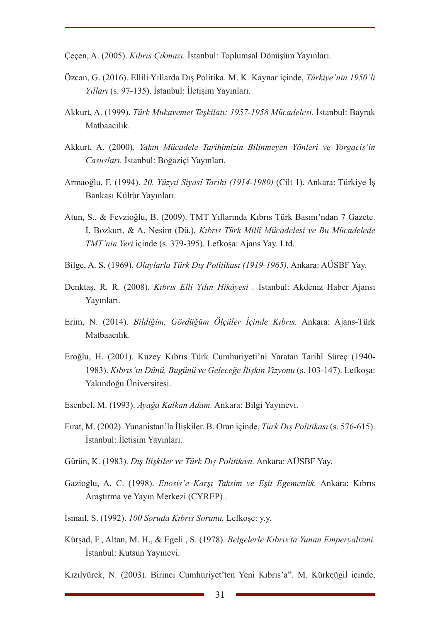Çeçen, A. (2005). *Kıbrıs Çıkmazı.* İstanbul: Toplumsal Dönüşüm Yayınları.

- Özcan, G. (2016). Ellili Yıllarda Dış Politika. M. K. Kaynar içinde, *Türkiye'nin 1950'li Yılları* (s. 97-135). İstanbul: İletişim Yayınları.
- Akkurt, A. (1999). *Türk Mukavemet Teşkilatı: 1957-1958 Mücadelesi.* İstanbul: Bayrak Matbaacılık.
- Akkurt, A. (2000). *Yakın Mücadele Tarihimizin Bilinmeyen Yönleri ve Yorgacis'in Casusları.* İstanbul: Boğaziçi Yayınları.
- Armaoğlu, F. (1994). *20. Yüzyıl Siyasî Tarihi (1914-1980)* (Cilt 1). Ankara: Türkiye İş Bankası Kültür Yayınları.
- Atun, S., & Fevzioğlu, B. (2009). TMT Yıllarında Kıbrıs Türk Basını'ndan 7 Gazete. İ. Bozkurt, & A. Nesim (Dü.), *Kıbrıs Türk Millî Mücadelesi ve Bu Mücadelede TMT'nin Yeri* içinde (s. 379-395). Lefkoşa: Ajans Yay. Ltd.
- Bilge, A. S. (1969). *Olaylarla Türk Dış Politikası (1919-1965).* Ankara: AÜSBF Yay.
- Denktaş, R. R. (2008). *Kıbrıs Elli Yılın Hikâyesi .* İstanbul: Akdeniz Haber Ajansı Yayınları.
- Erim, N. (2014). *Bildiğim, Gördüğüm Ölçüler İçinde Kıbrıs.* Ankara: Ajans-Türk Matbaacılık.
- Eroğlu, H. (2001). Kuzey Kıbrıs Türk Cumhuriyeti'ni Yaratan Tarihî Süreç (1940- 1983). *Kıbrıs'ın Dünü, Bugünü ve Geleceğe İlişkin Vizyonu* (s. 103-147). Lefkoşa: Yakındoğu Üniversitesi.
- Esenbel, M. (1993). *Ayağa Kalkan Adam.* Ankara: Bilgi Yayınevi.
- Fırat, M. (2002). Yunanistan'la İlişkiler. B. Oran içinde, *Türk Dış Politikası* (s. 576-615). İstanbul: İletişim Yayınları.
- Gürün, K. (1983). *Dış İlişkiler ve Türk Dış Politikası.* Ankara: AÜSBF Yay.
- Gazioğlu, A. C. (1998). *Enosis'e Karşı Taksim ve Eşit Egemenlik.* Ankara: Kıbrıs Araştırma ve Yayın Merkezi (CYREP) .
- İsmail, S. (1992). *100 Soruda Kıbrıs Sorunu.* Lefkoşe: y.y.
- Kürşad, F., Altan, M. H., & Egeli , S. (1978). *Belgelerle Kıbrıs'ta Yunan Emperyalizmi.* İstanbul: Kutsun Yayınevi.

Kızılyürek, N. (2003). Birinci Cumhuriyet'ten Yeni Kıbrıs'a". M. Kürkçügil içinde,